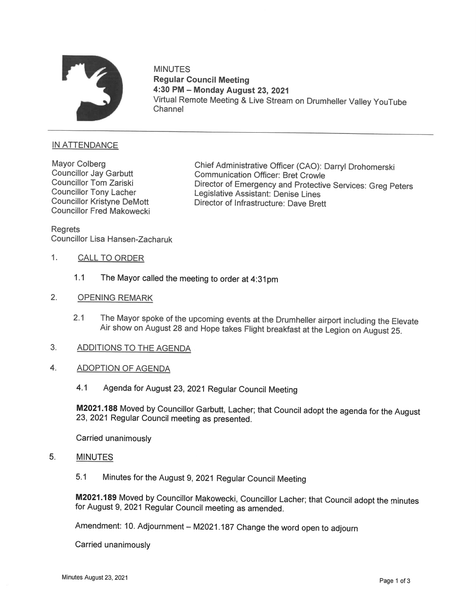

MINUTES Regular Council Meeting 4:30 PM — Monday August 23, 2021 Virtual Remote Meeting & Live Stream on Drumheller Valley YouTube Channel

## IN ATTENDANCE

**Councillor Tony Lacher** Councillor Fred Makowecki

Mayor Colberg Chief Administrative Officer (CAO): Darryl Drohomerski<br>Councillor Jay Garbutt Communication Officer: Bret Crowle<br>Councillor Tom Zariski Director of Emergency and Protective Services: Gros B Councillor Tom Zariski Director of Emergency and Protective Services: Greg Peters<br>Councillor Tony Lacher Legislative Assistant: Denise Lines<br>Councillor Kristyne DeMott Director of Infrastructure: Dave Brett Director of Infrastructure: Dave Brett

Regrets Councillor Lisa Hansen-Zacharuk

- 1. CALL TO ORDER
	- 1.1 The Mayor called the meeting to order at 4:31pm
- 2. OPENING REMARK
	- 2.1 The Mayor spoke of the upcoming events at the Drumheller airport including the Elevate Airshow on August 28 and Hope takes Flight breakfast at the Legion on August 25.
- 3. ADDITIONSTO THE AGENDA
- 4. ADOPTION OF AGENDA
	- 4.1 Agenda for August 23, 2021 Regular Council Meeting

M2021.188 Moved by Councillor Garbutt, Lacher; that Council adopt the agenda for the August 23, <sup>2021</sup> Regular Council meeting as presented.

Carried unanimously

## 5. MINUTE

5.1 Minutes for the August 9, 2021 Regular Council Meeting

M2021.189 Moved by Councillor Makowecki, Councillor Lacher; that Council adopt the minutes for August 9, <sup>2021</sup> Regular Council meeting as amended.

Amendment: 10. Adjournment — M2021.187 Change the word open to adjourn

Carried unanimously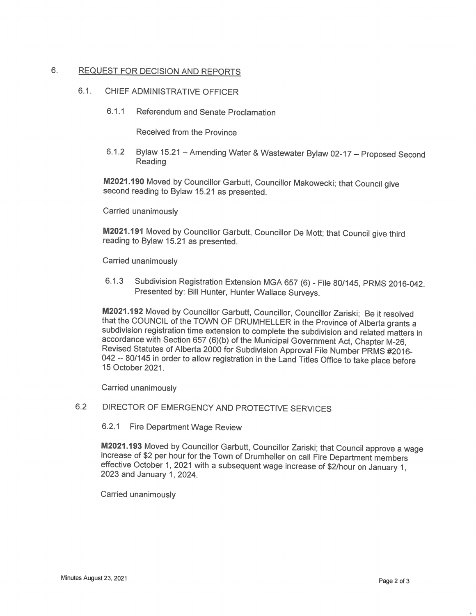## 6. REQUEST FOR DECISION AND REPORTS

#### 6.1. CHIEF ADMINISTRATIVE OFFICER

6.1.1 Referendum and Senate Proclamation

Received from the Province

6.1.2 Bylaw 15.21 - Amending Water & Wastewater Bylaw 02-17 - Proposed Second Reading

M2021.190 Moved by Councillor Garbutt, Councillor Makowecki; that Council give second reading to Bylaw 15.21 as presented.

Carried unanimously

M2021.191 Moved by Councillor Garbutt, Councillor De Mott; that Council give third reading to Bylaw 15.21 as presented.

Carried unanimously

6.1.3 Subdivision Registration Extension MGA 657(6) - File 80/145, PRMS 2016-042. Presented by: Bill Hunter, Hunter Wallace Surveys.

M2021.192 Moved by Councillor Garbutt, Councillor, Councillor Zariski; Be it resolved that the COUNCIL of the TOWN OF DRUMHELLER in the Province of Alberta grants a subdivision registration time extension to complete the subdivision and related matters in accordance with Section 657 (6)(b) of the Municipal Government Act, Chapter M-26, Revised Statutes of Alberta 2000 for Subdivision Approval File Number PRMS #2016-042 -- 80/145 in order to allow registration in the Land Titles Office to take place before 15 October 2021.

Carried unanimously

# 6.2 DIRECTOR OF EMERGENCYAND PROTECTIVE SERVICES

6.2.1 Fire Department Wage Review

M2021.193 Moved by Councillor Garbutt, Councillor Zariski; that Council approve a wage increase of \$2 per hour for the Town of Drumheller on call Fire Department members effective October 1, <sup>2021</sup> with <sup>a</sup> subsequent wage increase of \$2/hour on January 1, <sup>2023</sup> and January 1, 2024.

Carried unanimously